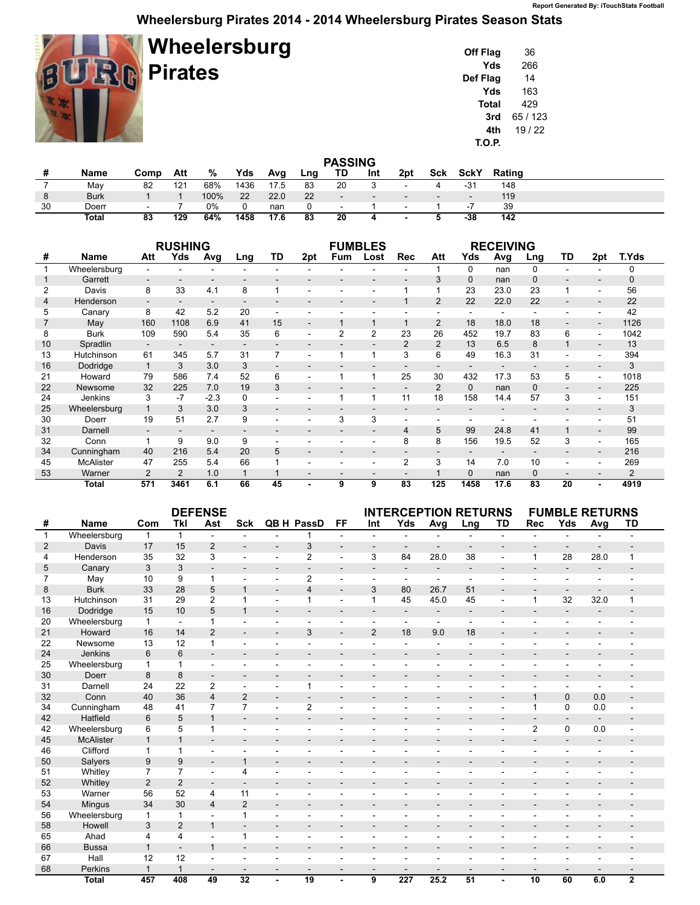## **Wheelersburg Pirates 2014 - 2014 Wheelersburg Pirates Season Stats**

| Wheelersburg<br><b>RIP Pirates</b> |
|------------------------------------|
|                                    |

| Off Flag | 36     |
|----------|--------|
| Yds      | 266    |
| Def Flag | 14     |
| Yds      | 163    |
| Total    | 429    |
| 3rd      | 65/123 |
| 4th      | 19/22  |
| T.O.P.   |        |

| <b>PASSING</b> |              |        |                 |       |      |      |     |        |                          |        |                          |             |        |  |
|----------------|--------------|--------|-----------------|-------|------|------|-----|--------|--------------------------|--------|--------------------------|-------------|--------|--|
|                | Name         | Comp   | Att             | %     | Yds  | Avg  | Lng | TD     | Int                      | 2pt    | Sck                      | <b>SckY</b> | Rating |  |
|                | May          | 82     | 12 <sup>1</sup> | 68%   | 1436 | 17.5 | 83  | 20     |                          | $\sim$ |                          | -31         | 148    |  |
| 8              | <b>Burk</b>  |        |                 | 100%  | 22   | 22.0 | 22  | $\sim$ | $\overline{\phantom{0}}$ |        | $\overline{\phantom{0}}$ | $\sim$      | 119    |  |
| 30             | Doerr        | $\sim$ |                 | $0\%$ |      | nan  |     | $\sim$ |                          | $\sim$ |                          | - 1         | 39     |  |
|                | <b>Total</b> | 83     | 129             | 64%   | 1458 | 17.6 | 83  | 20     | д                        |        |                          | -38         | 142    |  |

|    |                  |                          | <b>RUSHING</b>           |                          |                          |                          | <b>FUMBLES</b>           |                          |                          |                          |                |              | <b>RECEIVING</b> |          |                          |                          |                |
|----|------------------|--------------------------|--------------------------|--------------------------|--------------------------|--------------------------|--------------------------|--------------------------|--------------------------|--------------------------|----------------|--------------|------------------|----------|--------------------------|--------------------------|----------------|
| #  | Name             | Att                      | Yds                      | Avg                      | Lng                      | TD                       | 2pt                      | Fum                      | Lost                     | Rec                      | Att            | Yds          | Avg              | Lng      | TD                       | 2pt                      | T.Yds          |
|    | Wheelersburg     |                          |                          |                          |                          |                          |                          |                          |                          |                          |                | $\mathbf{0}$ | nan              | 0        |                          |                          | 0              |
|    | Garrett          |                          |                          |                          |                          |                          |                          | $\overline{\phantom{0}}$ | $\overline{\phantom{0}}$ |                          | 3              | $\mathbf 0$  | nan              | $\Omega$ | $\overline{\phantom{0}}$ |                          | 0              |
| 2  | Davis            | 8                        | 33                       | 4.1                      | 8                        |                          |                          |                          |                          |                          |                | 23           | 23.0             | 23       |                          |                          | 56             |
| 4  | Henderson        | $\overline{\phantom{a}}$ | $\overline{\phantom{a}}$ | $\overline{a}$           |                          |                          | $\overline{\phantom{0}}$ | ٠                        | $\overline{\phantom{a}}$ | 1                        | $\overline{2}$ | 22           | 22.0             | 22       |                          | $\overline{\phantom{a}}$ | 22             |
| 5  | Canary           | 8                        | 42                       | 5.2                      | 20                       |                          |                          |                          |                          |                          |                |              |                  |          |                          |                          | 42             |
|    | May              | 160                      | 1108                     | 6.9                      | 41                       | 15                       | $\overline{\phantom{a}}$ | 1                        | $\mathbf{1}$             | $\mathbf{1}$             | $\overline{2}$ | 18           | 18.0             | 18       |                          |                          | 1126           |
| 8  | <b>Burk</b>      | 109                      | 590                      | 5.4                      | 35                       | 6                        | $\overline{\phantom{0}}$ | 2                        | $\overline{2}$           | 23                       | 26             | 452          | 19.7             | 83       | 6                        | $\overline{\phantom{a}}$ | 1042           |
| 10 | Spradlin         | $\overline{\phantom{a}}$ | $\overline{\phantom{a}}$ | $\overline{\phantom{a}}$ | $\overline{\phantom{0}}$ |                          |                          | $\overline{\phantom{0}}$ | $\overline{\phantom{0}}$ | $\overline{2}$           | 2              | 13           | 6.5              | 8        |                          | $\sim$                   | 13             |
| 13 | Hutchinson       | 61                       | 345                      | 5.7                      | 31                       | 7                        | $\overline{\phantom{a}}$ |                          | 1                        | 3                        | 6              | 49           | 16.3             | 31       |                          |                          | 394            |
| 16 | Dodridge         | $\mathbf{1}$             | 3                        | 3.0                      | 3                        |                          |                          |                          |                          |                          |                |              |                  |          |                          |                          | 3              |
| 21 | Howard           | 79                       | 586                      | 7.4                      | 52                       | 6                        |                          |                          |                          | 25                       | 30             | 432          | 17.3             | 53       | 5                        |                          | 1018           |
| 22 | Newsome          | 32                       | 225                      | 7.0                      | 19                       | 3                        | $\overline{\phantom{a}}$ |                          |                          | $\overline{\phantom{a}}$ | 2              | $\mathbf 0$  | nan              | $\Omega$ |                          |                          | 225            |
| 24 | Jenkins          | 3                        | -7                       | $-2.3$                   | 0                        |                          |                          |                          |                          | 11                       | 18             | 158          | 14.4             | 57       | 3                        |                          | 151            |
| 25 | Wheelersburg     |                          | 3                        | 3.0                      | 3                        | $\overline{\phantom{0}}$ |                          |                          |                          |                          |                |              |                  |          |                          |                          | 3              |
| 30 | Doerr            | 19                       | 51                       | 2.7                      | 9                        |                          |                          | 3                        | 3                        |                          |                |              |                  |          |                          |                          | 51             |
| 31 | Darnell          | $\overline{\phantom{a}}$ |                          |                          |                          |                          |                          | $\overline{\phantom{0}}$ | $\overline{\phantom{0}}$ | $\overline{4}$           | 5              | 99           | 24.8             | 41       |                          |                          | 99             |
| 32 | Conn             |                          | 9                        | 9.0                      | 9                        |                          |                          | ۰                        | ۰                        | 8                        | 8              | 156          | 19.5             | 52       | 3                        | $\overline{\phantom{a}}$ | 165            |
| 34 | Cunningham       | 40                       | 216                      | 5.4                      | 20                       | 5                        |                          |                          |                          |                          |                |              |                  |          |                          |                          | 216            |
| 45 | <b>McAlister</b> | 47                       | 255                      | 5.4                      | 66                       |                          |                          | $\overline{\phantom{0}}$ | $\overline{\phantom{0}}$ | 2                        | 3              | 14           | 7.0              | 10       |                          |                          | 269            |
| 53 | Warner           | 2                        | 2                        | 1.0                      |                          |                          | $\overline{\phantom{a}}$ | ٠                        | $\overline{\phantom{0}}$ | $\overline{\phantom{a}}$ |                | $\mathbf 0$  | nan              | $\Omega$ | $\overline{\phantom{0}}$ |                          | $\overline{c}$ |
|    | <b>Total</b>     | 571                      | 3461                     | 6.1                      | 66                       | 45                       |                          | 9                        | 9                        | 83                       | 125            | 1458         | 17.6             | 83       | 20                       |                          | 4919           |

|                |                  |                | <b>DEFENSE</b>           |                          |                          |                          | <b>INTERCEPTION RETURNS</b> |                          |                          |                          |                          | <b>FUMBLE RETURNS</b>    |                          |                |                |                          |                |
|----------------|------------------|----------------|--------------------------|--------------------------|--------------------------|--------------------------|-----------------------------|--------------------------|--------------------------|--------------------------|--------------------------|--------------------------|--------------------------|----------------|----------------|--------------------------|----------------|
| #              | <b>Name</b>      | Com            | Tkl                      | Ast                      | <b>Sck</b>               |                          | QB H PassD                  | <b>FF</b>                | Int                      | Yds                      | Avg                      | Lng                      | <b>TD</b>                | Rec            | Yds            | Avg                      | TD             |
| $\mathbf{1}$   | Wheelersburg     | $\mathbf{1}$   | $\mathbf{1}$             |                          |                          |                          |                             | ÷                        | $\overline{a}$           |                          |                          |                          |                          |                |                |                          |                |
| $\overline{2}$ | <b>Davis</b>     | 17             | 15                       | $\overline{2}$           |                          | $\overline{\phantom{a}}$ | 3                           | $\overline{\phantom{a}}$ | $\overline{\phantom{a}}$ | $\overline{\phantom{0}}$ |                          |                          |                          |                |                |                          |                |
| 4              | Henderson        | 35             | 32                       | 3                        | $\blacksquare$           | $\blacksquare$           | $\overline{2}$              | ÷,                       | 3                        | 84                       | 28.0                     | 38                       | $\overline{a}$           | 1              | 28             | 28.0                     | $\mathbf{1}$   |
| 5              | Canary           | 3              | 3                        | ٠                        | $\overline{\phantom{a}}$ | $\overline{\phantom{a}}$ | $\overline{\phantom{a}}$    | $\overline{\phantom{a}}$ | $\overline{\phantom{a}}$ | $\overline{\phantom{a}}$ | $\overline{\phantom{a}}$ | $\sim$                   | $\overline{a}$           |                |                |                          |                |
| $\overline{7}$ | May              | 10             | 9                        | 1                        |                          |                          | $\overline{2}$              | ä,                       | $\blacksquare$           | $\blacksquare$           | $\overline{a}$           |                          |                          |                |                |                          |                |
| 8              | <b>Burk</b>      | 33             | 28                       | 5                        | $\mathbf 1$              | $\overline{\phantom{a}}$ | $\overline{4}$              | $\blacksquare$           | 3                        | 80                       | 26.7                     | 51                       | $\overline{a}$           |                |                |                          |                |
| 13             | Hutchinson       | 31             | 29                       | 2                        | 1                        | $\sim$                   | $\mathbf{1}$                | $\blacksquare$           | 1                        | 45                       | 45.0                     | 45                       | L,                       | 1              | 32             | 32.0                     | 1              |
| 16             | Dodridge         | 15             | 10                       | 5                        | $\overline{1}$           | $\overline{\phantom{a}}$ | $\overline{\phantom{a}}$    | $\sim$                   | $\sim$                   | $\sim$                   | $\sim$                   | $\sim$                   | $\overline{\phantom{0}}$ |                | $\blacksquare$ | $\overline{\phantom{a}}$ |                |
| 20             | Wheelersburg     | $\mathbf{1}$   | $\sim$                   | 1                        | $\blacksquare$           | $\sim$                   | $\sim$                      | $\sim$                   | $\sim$                   | $\sim$                   | $\overline{\phantom{a}}$ | ÷.                       | $\sim$                   |                |                |                          |                |
| 21             | Howard           | 16             | 14                       | $\overline{2}$           |                          |                          | 3                           | $\overline{\phantom{a}}$ | $\overline{2}$           | 18                       | 9.0                      | 18                       |                          |                |                |                          |                |
| 22             | Newsome          | 13             | 12                       | 1                        |                          | $\blacksquare$           |                             | ٠                        |                          |                          |                          |                          |                          |                |                |                          |                |
| 24             | Jenkins          | 6              | 6                        |                          | $\overline{\phantom{a}}$ | $\overline{\phantom{a}}$ | $\overline{\phantom{a}}$    | ۰                        | $\overline{\phantom{a}}$ | $\overline{\phantom{0}}$ | $\overline{\phantom{a}}$ |                          |                          |                |                |                          |                |
| 25             | Wheelersburg     | $\mathbf{1}$   | 1                        |                          |                          |                          | ä,                          | ÷,                       |                          | ä,                       | $\rightarrow$            |                          |                          |                |                |                          |                |
| 30             | Doerr            | 8              | 8                        | $\overline{\phantom{a}}$ | $\overline{\phantom{0}}$ | $\overline{\phantom{a}}$ | $\blacksquare$              | $\overline{\phantom{a}}$ | $\overline{\phantom{a}}$ |                          | $\overline{\phantom{a}}$ | $\sim$                   |                          |                |                |                          |                |
| 31             | Darnell          | 24             | 22                       | $\overline{2}$           | $\blacksquare$           | $\sim$                   | 1                           | ä,                       | $\blacksquare$           | $\equiv$                 |                          |                          | ÷,                       |                |                | $\overline{a}$           |                |
| 32             | Conn             | 40             | 36                       | $\overline{4}$           | $\overline{2}$           | $\blacksquare$           | $\sim$                      | $\blacksquare$           | $\overline{\phantom{a}}$ | $\overline{\phantom{0}}$ | $\blacksquare$           | $\sim$                   | $\overline{a}$           | $\mathbf{1}$   | $\mathbf{0}$   | 0.0                      |                |
| 34             | Cunningham       | 48             | 41                       | $\overline{7}$           | $\overline{7}$           | $\blacksquare$           | $\overline{2}$              | ä,                       |                          |                          |                          |                          | $\overline{a}$           | 1              | $\Omega$       | 0.0                      |                |
| 42             | Hatfield         | 6              | 5                        | $\mathbf{1}$             |                          | $\blacksquare$           |                             | $\overline{\phantom{a}}$ |                          |                          |                          |                          |                          |                |                |                          |                |
| 42             | Wheelersburg     | 6              | 5                        |                          | $\blacksquare$           | $\sim$                   |                             |                          |                          |                          |                          |                          | L,                       | $\overline{2}$ | $\Omega$       | 0.0                      |                |
| 45             | <b>McAlister</b> | $\mathbf{1}$   | $\mathbf{1}$             |                          | $\overline{\phantom{a}}$ | $\overline{\phantom{a}}$ | $\overline{\phantom{a}}$    | $\overline{\phantom{a}}$ | $\overline{\phantom{a}}$ | $\overline{\phantom{0}}$ | $\overline{\phantom{a}}$ | $\overline{\phantom{a}}$ |                          |                |                |                          |                |
| 46             | Clifford         | 1              | 1                        |                          |                          |                          | ä,                          | ۰                        |                          |                          |                          |                          |                          |                |                |                          |                |
| 50             | Salyers          | 9              | 9                        |                          | 1                        |                          | $\blacksquare$              | $\overline{\phantom{a}}$ |                          |                          |                          |                          |                          |                |                |                          |                |
| 51             | Whitley          | $\overline{7}$ | $\overline{7}$           | L.                       | 4                        |                          | ÷.                          | ÷.                       | $\blacksquare$           | $\equiv$                 | $\overline{\phantom{a}}$ |                          |                          |                |                |                          |                |
| 52             | Whitley          | 2              | $\overline{2}$           | ٠                        |                          | $\blacksquare$           | $\blacksquare$              | ۰                        | $\overline{\phantom{a}}$ | $\frac{1}{2}$            |                          | $\overline{\phantom{a}}$ |                          |                |                |                          |                |
| 53             | Warner           | 56             | 52                       | 4                        | 11                       | $\overline{a}$           | $\sim$                      | $\overline{a}$           | $\overline{a}$           | ä,                       | $\blacksquare$           |                          | ÷.                       |                |                |                          |                |
| 54             | Mingus           | 34             | 30                       | 4                        | $\overline{2}$           | $\overline{a}$           |                             | ۰                        |                          |                          |                          |                          |                          |                |                |                          |                |
| 56             | Wheelersburg     | $\mathbf{1}$   | $\mathbf{1}$             | L.                       | $\mathbf{1}$             |                          |                             |                          |                          |                          |                          |                          |                          |                |                |                          |                |
| 58             | Howell           | 3              | $\overline{2}$           | $\mathbf{1}$             | $\overline{\phantom{a}}$ | $\overline{\phantom{a}}$ | $\overline{\phantom{0}}$    | $\overline{\phantom{a}}$ | $\overline{\phantom{a}}$ | $\overline{\phantom{0}}$ | $\overline{\phantom{a}}$ | $\overline{\phantom{a}}$ | $\overline{\phantom{a}}$ |                |                |                          |                |
| 65             | Ahad             | 4              | 4                        |                          | 1                        |                          | ä,                          | ÷,                       |                          | $\overline{a}$           |                          |                          | L.                       |                |                |                          |                |
| 66             | <b>Bussa</b>     | $\mathbf{1}$   | $\overline{\phantom{a}}$ | $\mathbf{1}$             |                          | $\overline{\phantom{a}}$ | $\blacksquare$              | $\overline{\phantom{a}}$ | $\overline{\phantom{a}}$ |                          |                          |                          |                          |                |                |                          |                |
| 67             | Hall             | 12             | 12                       |                          |                          |                          | ٠                           | ٠                        | $\blacksquare$           | ٠                        | $\overline{\phantom{a}}$ |                          |                          |                |                |                          |                |
| 68             | Perkins          | $\mathbf{1}$   | $\mathbf{1}$             | ٠                        | $\overline{\phantom{a}}$ | $\overline{\phantom{a}}$ | $\overline{\phantom{a}}$    | $\overline{\phantom{a}}$ | $\overline{\phantom{a}}$ | $\overline{\phantom{0}}$ | $\overline{\phantom{a}}$ |                          |                          |                |                |                          |                |
|                | <b>Total</b>     | 457            | 408                      | 49                       | 32                       |                          | 19                          |                          | 9                        | 227                      | 25.2                     | 51                       |                          | 10             | 60             | 6.0                      | $\overline{2}$ |